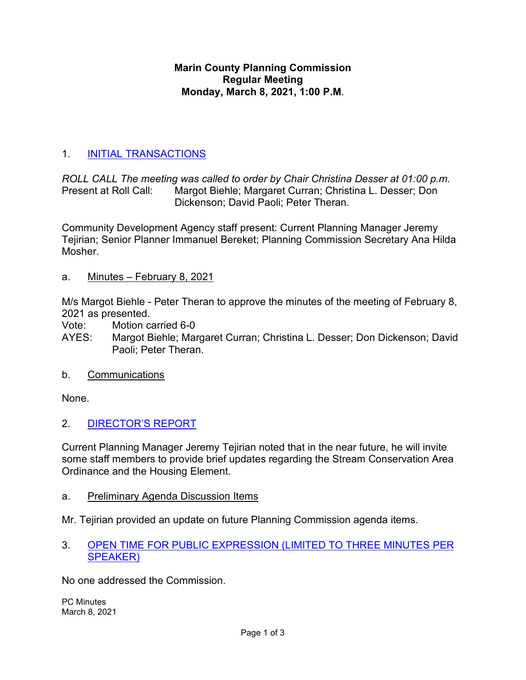### **Marin County Planning Commission Regular Meeting Monday, March 8, 2021, 1:00 P.M**.

# 1. [INITIAL TRANSACTIONS](https://marin.granicus.com/MediaPlayer.php?view_id=&clip_id=10561&meta_id=1110662)

*ROLL CALL The meeting was called to order by Chair Christina Desser at 01:00 p.m.* Margot Biehle; Margaret Curran; Christina L. Desser; Don Dickenson; David Paoli; Peter Theran.

Community Development Agency staff present: Current Planning Manager Jeremy Tejirian; Senior Planner Immanuel Bereket; Planning Commission Secretary Ana Hilda Mosher.

a. Minutes – February 8, 2021

M/s Margot Biehle - Peter Theran to approve the minutes of the meeting of February 8, 2021 as presented.

Vote: Motion carried 6-0

- AYES: Margot Biehle; Margaret Curran; Christina L. Desser; Don Dickenson; David Paoli; Peter Theran.
- b. Communications

None.

2. [DIRECTOR'S REPORT](https://marin.granicus.com/MediaPlayer.php?view_id=&clip_id=10561&meta_id=1110666)

Current Planning Manager Jeremy Tejirian noted that in the near future, he will invite some staff members to provide brief updates regarding the Stream Conservation Area Ordinance and the Housing Element.

a. Preliminary Agenda Discussion Items

Mr. Tejirian provided an update on future Planning Commission agenda items.

3. [OPEN TIME FOR PUBLIC EXPRESSION \(LIMITED TO THREE MINUTES PER](https://marin.granicus.com/MediaPlayer.php?view_id=&clip_id=10561&meta_id=1110668)  [SPEAKER\)](https://marin.granicus.com/MediaPlayer.php?view_id=&clip_id=10561&meta_id=1110668)

No one addressed the Commission.

PC Minutes March 8, 2021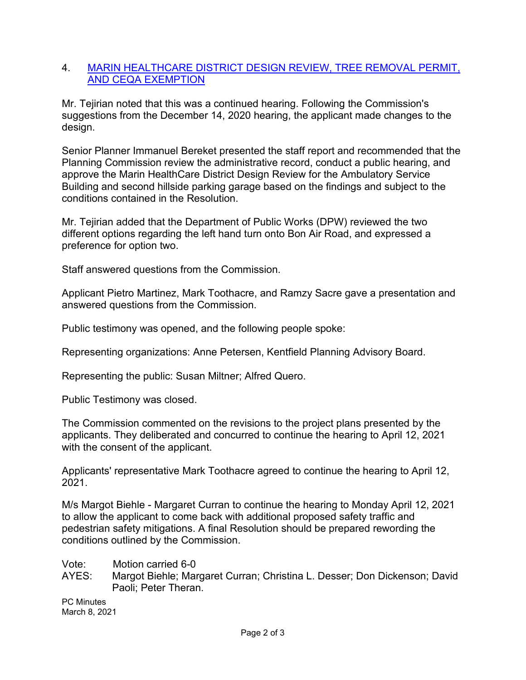#### 4. [MARIN HEALTHCARE DISTRICT DESIGN REVIEW, TREE REMOVAL PERMIT,](https://marin.granicus.com/MediaPlayer.php?view_id=&clip_id=10561&meta_id=1110669)  [AND CEQA EXEMPTION](https://marin.granicus.com/MediaPlayer.php?view_id=&clip_id=10561&meta_id=1110669)

Mr. Tejirian noted that this was a continued hearing. Following the Commission's suggestions from the December 14, 2020 hearing, the applicant made changes to the design.

Senior Planner Immanuel Bereket presented the staff report and recommended that the Planning Commission review the administrative record, conduct a public hearing, and approve the Marin HealthCare District Design Review for the Ambulatory Service Building and second hillside parking garage based on the findings and subject to the conditions contained in the Resolution.

Mr. Tejirian added that the Department of Public Works (DPW) reviewed the two different options regarding the left hand turn onto Bon Air Road, and expressed a preference for option two.

Staff answered questions from the Commission.

Applicant Pietro Martinez, Mark Toothacre, and Ramzy Sacre gave a presentation and answered questions from the Commission.

Public testimony was opened, and the following people spoke:

Representing organizations: Anne Petersen, Kentfield Planning Advisory Board.

Representing the public: Susan Miltner; Alfred Quero.

Public Testimony was closed.

The Commission commented on the revisions to the project plans presented by the applicants. They deliberated and concurred to continue the hearing to April 12, 2021 with the consent of the applicant.

Applicants' representative Mark Toothacre agreed to continue the hearing to April 12, 2021.

M/s Margot Biehle - Margaret Curran to continue the hearing to Monday April 12, 2021 to allow the applicant to come back with additional proposed safety traffic and pedestrian safety mitigations. A final Resolution should be prepared rewording the conditions outlined by the Commission.

Vote: Motion carried 6-0

AYES: Margot Biehle; Margaret Curran; Christina L. Desser; Don Dickenson; David Paoli; Peter Theran.

PC Minutes March 8, 2021